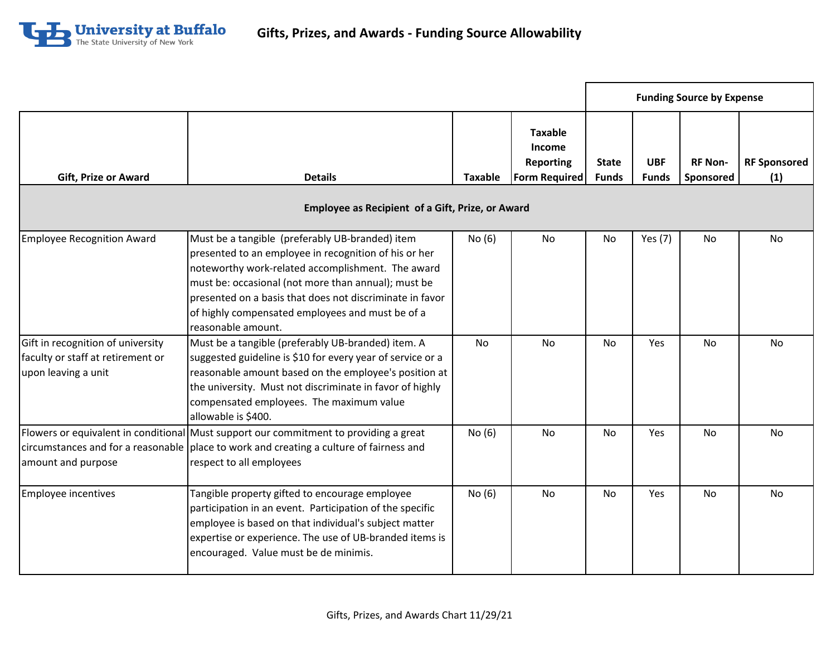

|                                                                                               |                                                                                                                                                                                                                                                                                                                                                            |           |                                                                             | <b>Funding Source by Expense</b> |                            |                             |                            |
|-----------------------------------------------------------------------------------------------|------------------------------------------------------------------------------------------------------------------------------------------------------------------------------------------------------------------------------------------------------------------------------------------------------------------------------------------------------------|-----------|-----------------------------------------------------------------------------|----------------------------------|----------------------------|-----------------------------|----------------------------|
| <b>Gift, Prize or Award</b>                                                                   | <b>Details</b><br><b>Employee as Recipient of a Gift, Prize, or Award</b>                                                                                                                                                                                                                                                                                  | Taxable   | <b>Taxable</b><br><b>Income</b><br><b>Reporting</b><br><b>Form Required</b> | <b>State</b><br><b>Funds</b>     | <b>UBF</b><br><b>Funds</b> | <b>RF Non-</b><br>Sponsored | <b>RF Sponsored</b><br>(1) |
|                                                                                               |                                                                                                                                                                                                                                                                                                                                                            |           |                                                                             |                                  |                            |                             |                            |
| <b>Employee Recognition Award</b>                                                             | Must be a tangible (preferably UB-branded) item<br>presented to an employee in recognition of his or her<br>noteworthy work-related accomplishment. The award<br>must be: occasional (not more than annual); must be<br>presented on a basis that does not discriminate in favor<br>of highly compensated employees and must be of a<br>reasonable amount. | No(6)     | No                                                                          | <b>No</b>                        | Yes (7)                    | No                          | <b>No</b>                  |
| Gift in recognition of university<br>faculty or staff at retirement or<br>upon leaving a unit | Must be a tangible (preferably UB-branded) item. A<br>suggested guideline is \$10 for every year of service or a<br>reasonable amount based on the employee's position at<br>the university. Must not discriminate in favor of highly<br>compensated employees. The maximum value<br>allowable is \$400.                                                   | <b>No</b> | <b>No</b>                                                                   | <b>No</b>                        | Yes                        | <b>No</b>                   | No                         |
| amount and purpose                                                                            | Flowers or equivalent in conditional Must support our commitment to providing a great<br>circumstances and for a reasonable   place to work and creating a culture of fairness and<br>respect to all employees                                                                                                                                             | No (6)    | No                                                                          | <b>No</b>                        | Yes                        | <b>No</b>                   | <b>No</b>                  |
| <b>Employee incentives</b>                                                                    | Tangible property gifted to encourage employee<br>participation in an event. Participation of the specific<br>employee is based on that individual's subject matter<br>expertise or experience. The use of UB-branded items is<br>encouraged. Value must be de minimis.                                                                                    | No(6)     | No                                                                          | No                               | Yes                        | <b>No</b>                   | No                         |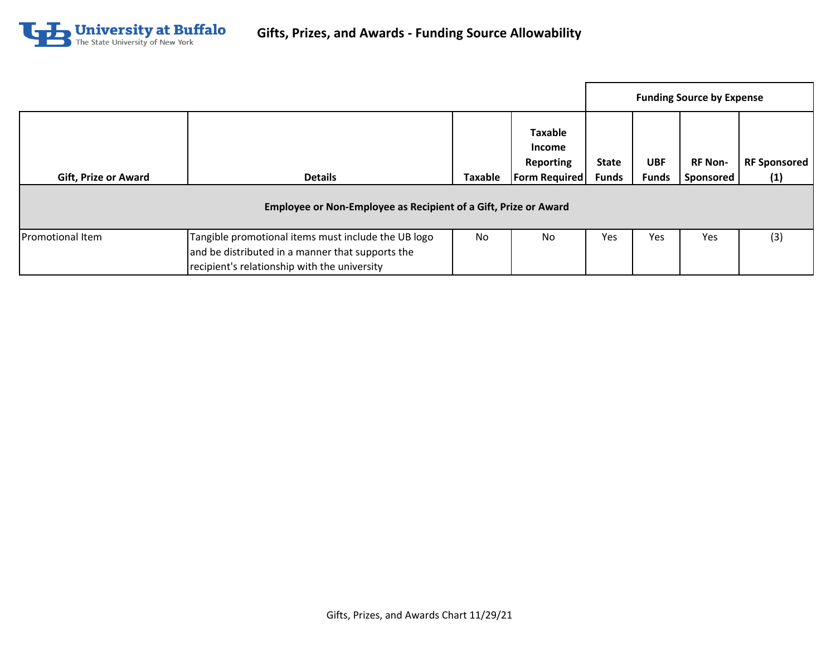

|                             |                                                                                                                                                         |                |                                                                             | <b>Funding Source by Expense</b> |                            |                             |                            |
|-----------------------------|---------------------------------------------------------------------------------------------------------------------------------------------------------|----------------|-----------------------------------------------------------------------------|----------------------------------|----------------------------|-----------------------------|----------------------------|
| <b>Gift, Prize or Award</b> | <b>Details</b>                                                                                                                                          | <b>Taxable</b> | <b>Taxable</b><br><b>Income</b><br><b>Reporting</b><br><b>Form Required</b> | <b>State</b><br><b>Funds</b>     | <b>UBF</b><br><b>Funds</b> | <b>RF Non-</b><br>Sponsored | <b>RF Sponsored</b><br>(1) |
|                             | Employee or Non-Employee as Recipient of a Gift, Prize or Award                                                                                         |                |                                                                             |                                  |                            |                             |                            |
| <b>Promotional Item</b>     | Tangible promotional items must include the UB logo<br>and be distributed in a manner that supports the<br>recipient's relationship with the university | <b>No</b>      | <b>No</b>                                                                   | Yes                              | Yes                        | Yes                         | (3)                        |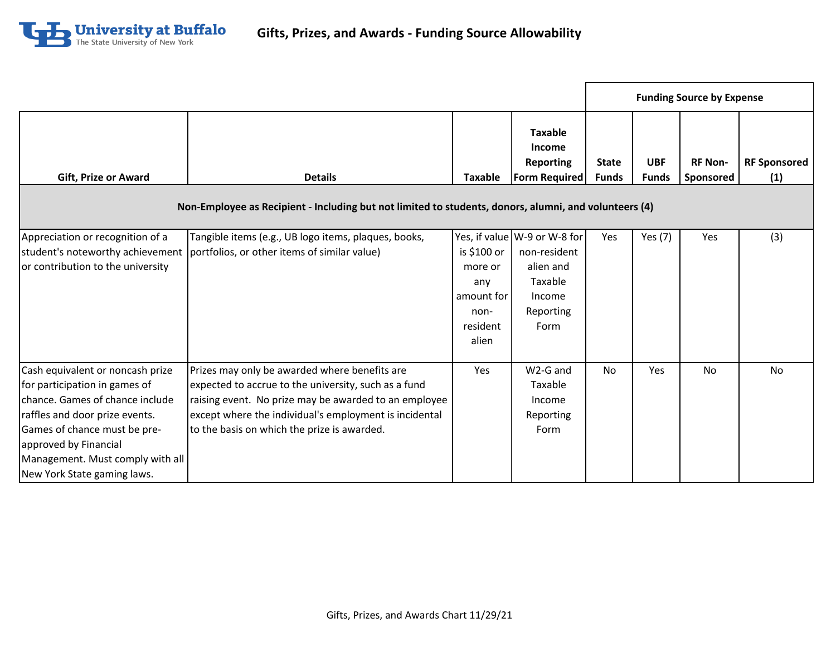

|                                                                                                                                                                                                                                                                    |                                                                                                                                                                                                                                                                         |                                                                          |                                                                                                     |                              |                            | <b>Funding Source by Expense</b> |                            |
|--------------------------------------------------------------------------------------------------------------------------------------------------------------------------------------------------------------------------------------------------------------------|-------------------------------------------------------------------------------------------------------------------------------------------------------------------------------------------------------------------------------------------------------------------------|--------------------------------------------------------------------------|-----------------------------------------------------------------------------------------------------|------------------------------|----------------------------|----------------------------------|----------------------------|
| <b>Gift, Prize or Award</b>                                                                                                                                                                                                                                        | <b>Details</b>                                                                                                                                                                                                                                                          | <b>Taxable</b>                                                           | <b>Taxable</b><br><b>Income</b><br><b>Reporting</b><br><b>Form Required</b>                         | <b>State</b><br><b>Funds</b> | <b>UBF</b><br><b>Funds</b> | <b>RF Non-</b><br>Sponsored      | <b>RF Sponsored</b><br>(1) |
|                                                                                                                                                                                                                                                                    | Non-Employee as Recipient - Including but not limited to students, donors, alumni, and volunteers (4)                                                                                                                                                                   |                                                                          |                                                                                                     |                              |                            |                                  |                            |
| Appreciation or recognition of a<br>or contribution to the university                                                                                                                                                                                              | Tangible items (e.g., UB logo items, plaques, books,<br>student's noteworthy achievement   portfolios, or other items of similar value)                                                                                                                                 | is \$100 or<br>more or<br>any<br>amount for<br>non-<br>resident<br>alien | Yes, if value W-9 or W-8 for<br>non-resident<br>alien and<br>Taxable<br>Income<br>Reporting<br>Form | Yes                          | Yes (7)                    | Yes                              | (3)                        |
| Cash equivalent or noncash prize<br>for participation in games of<br>chance. Games of chance include<br>raffles and door prize events.<br>Games of chance must be pre-<br>approved by Financial<br>Management. Must comply with all<br>New York State gaming laws. | Prizes may only be awarded where benefits are<br>expected to accrue to the university, such as a fund<br>raising event. No prize may be awarded to an employee<br>except where the individual's employment is incidental<br>to the basis on which the prize is awarded. | Yes                                                                      | W2-G and<br>Taxable<br>Income<br>Reporting<br>Form                                                  | No                           | <b>Yes</b>                 | No                               | No.                        |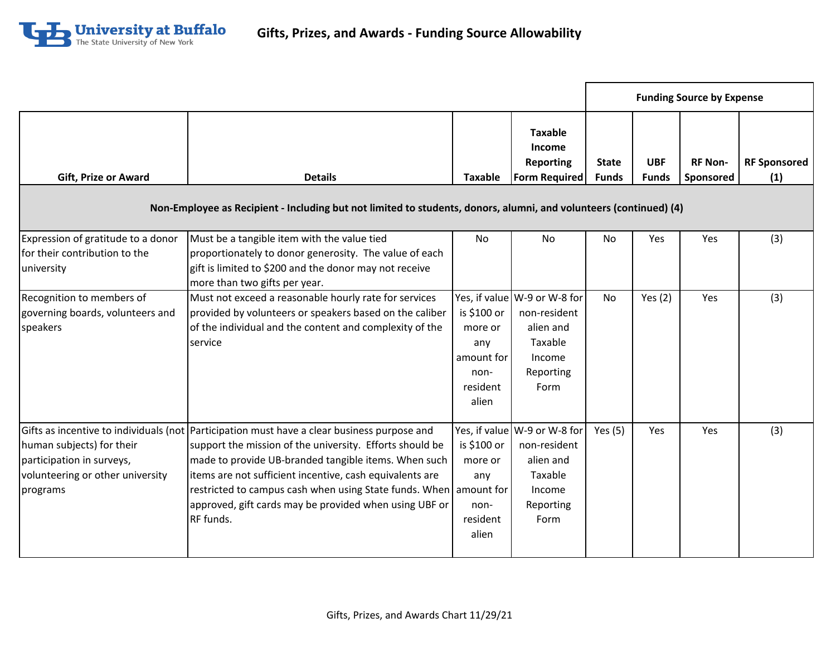

|                                                                                                        |                                                                                                                                                                                                                                                                                                                                                                                                                         |                                                                          |                                                                                                     | <b>Funding Source by Expense</b> |                            |                             |                            |
|--------------------------------------------------------------------------------------------------------|-------------------------------------------------------------------------------------------------------------------------------------------------------------------------------------------------------------------------------------------------------------------------------------------------------------------------------------------------------------------------------------------------------------------------|--------------------------------------------------------------------------|-----------------------------------------------------------------------------------------------------|----------------------------------|----------------------------|-----------------------------|----------------------------|
| <b>Gift, Prize or Award</b>                                                                            | <b>Details</b>                                                                                                                                                                                                                                                                                                                                                                                                          | <b>Taxable</b>                                                           | <b>Taxable</b><br><b>Income</b><br><b>Reporting</b><br><b>Form Required</b>                         | <b>State</b><br><b>Funds</b>     | <b>UBF</b><br><b>Funds</b> | <b>RF Non-</b><br>Sponsored | <b>RF Sponsored</b><br>(1) |
|                                                                                                        | Non-Employee as Recipient - Including but not limited to students, donors, alumni, and volunteers (continued) (4)                                                                                                                                                                                                                                                                                                       |                                                                          |                                                                                                     |                                  |                            |                             |                            |
| Expression of gratitude to a donor<br>for their contribution to the<br>university                      | Must be a tangible item with the value tied<br>proportionately to donor generosity. The value of each<br>gift is limited to \$200 and the donor may not receive<br>more than two gifts per year.                                                                                                                                                                                                                        | <b>No</b>                                                                | No                                                                                                  | <b>No</b>                        | Yes                        | Yes                         | (3)                        |
| Recognition to members of<br>governing boards, volunteers and<br>speakers                              | Must not exceed a reasonable hourly rate for services<br>provided by volunteers or speakers based on the caliber<br>of the individual and the content and complexity of the<br>service                                                                                                                                                                                                                                  | is \$100 or<br>more or<br>any<br>amount for<br>non-<br>resident<br>alien | Yes, if value W-9 or W-8 for<br>non-resident<br>alien and<br>Taxable<br>Income<br>Reporting<br>Form | <b>No</b>                        | Yes $(2)$                  | Yes                         | (3)                        |
| human subjects) for their<br>participation in surveys,<br>volunteering or other university<br>programs | Gifts as incentive to individuals (not Participation must have a clear business purpose and<br>support the mission of the university. Efforts should be<br>made to provide UB-branded tangible items. When such<br>items are not sufficient incentive, cash equivalents are<br>restricted to campus cash when using State funds. When amount for<br>approved, gift cards may be provided when using UBF or<br>RF funds. | is \$100 or<br>more or<br>any<br>non-<br>resident<br>alien               | Yes, if value W-9 or W-8 for<br>non-resident<br>alien and<br>Taxable<br>Income<br>Reporting<br>Form | Yes $(5)$                        | Yes                        | Yes                         | (3)                        |